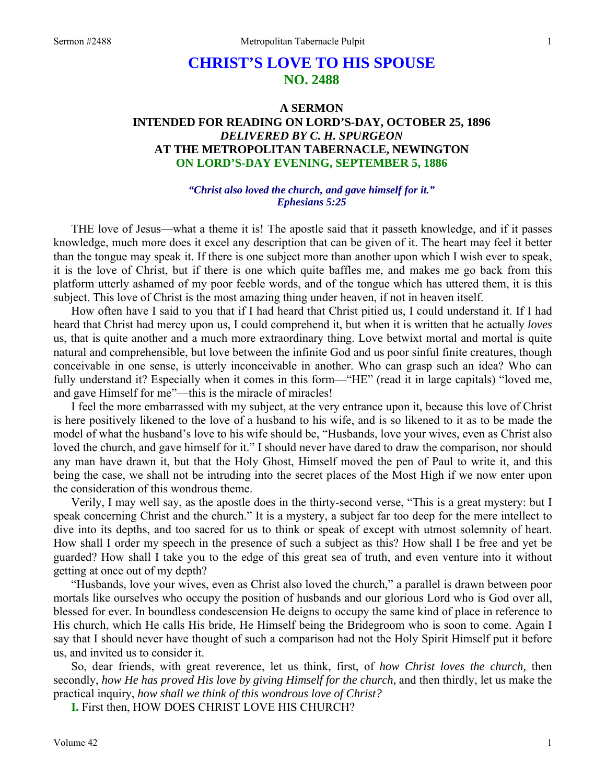# **CHRIST'S LOVE TO HIS SPOUSE NO. 2488**

## **A SERMON INTENDED FOR READING ON LORD'S-DAY, OCTOBER 25, 1896**  *DELIVERED BY C. H. SPURGEON*  **AT THE METROPOLITAN TABERNACLE, NEWINGTON ON LORD'S-DAY EVENING, SEPTEMBER 5, 1886**

#### *"Christ also loved the church, and gave himself for it." Ephesians 5:25*

THE love of Jesus—what a theme it is! The apostle said that it passeth knowledge, and if it passes knowledge, much more does it excel any description that can be given of it. The heart may feel it better than the tongue may speak it. If there is one subject more than another upon which I wish ever to speak, it is the love of Christ, but if there is one which quite baffles me, and makes me go back from this platform utterly ashamed of my poor feeble words, and of the tongue which has uttered them, it is this subject. This love of Christ is the most amazing thing under heaven, if not in heaven itself.

How often have I said to you that if I had heard that Christ pitied us, I could understand it. If I had heard that Christ had mercy upon us, I could comprehend it, but when it is written that he actually *loves*  us, that is quite another and a much more extraordinary thing. Love betwixt mortal and mortal is quite natural and comprehensible, but love between the infinite God and us poor sinful finite creatures, though conceivable in one sense, is utterly inconceivable in another. Who can grasp such an idea? Who can fully understand it? Especially when it comes in this form—"HE" (read it in large capitals) "loved me, and gave Himself for me"—this is the miracle of miracles!

I feel the more embarrassed with my subject, at the very entrance upon it, because this love of Christ is here positively likened to the love of a husband to his wife, and is so likened to it as to be made the model of what the husband's love to his wife should be, "Husbands, love your wives, even as Christ also loved the church, and gave himself for it." I should never have dared to draw the comparison, nor should any man have drawn it, but that the Holy Ghost, Himself moved the pen of Paul to write it, and this being the case, we shall not be intruding into the secret places of the Most High if we now enter upon the consideration of this wondrous theme.

Verily, I may well say, as the apostle does in the thirty-second verse, "This is a great mystery: but I speak concerning Christ and the church." It is a mystery, a subject far too deep for the mere intellect to dive into its depths, and too sacred for us to think or speak of except with utmost solemnity of heart. How shall I order my speech in the presence of such a subject as this? How shall I be free and yet be guarded? How shall I take you to the edge of this great sea of truth, and even venture into it without getting at once out of my depth?

"Husbands, love your wives, even as Christ also loved the church," a parallel is drawn between poor mortals like ourselves who occupy the position of husbands and our glorious Lord who is God over all, blessed for ever. In boundless condescension He deigns to occupy the same kind of place in reference to His church, which He calls His bride, He Himself being the Bridegroom who is soon to come. Again I say that I should never have thought of such a comparison had not the Holy Spirit Himself put it before us, and invited us to consider it.

So, dear friends, with great reverence, let us think, first, of *how Christ loves the church,* then secondly, *how He has proved His love by giving Himself for the church,* and then thirdly, let us make the practical inquiry, *how shall we think of this wondrous love of Christ?* 

**I.** First then, HOW DOES CHRIST LOVE HIS CHURCH?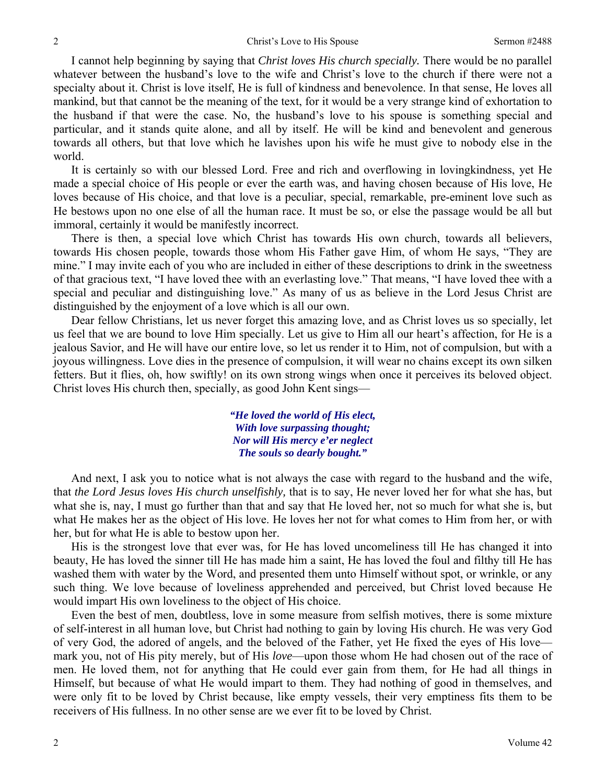I cannot help beginning by saying that *Christ loves His church specially.* There would be no parallel whatever between the husband's love to the wife and Christ's love to the church if there were not a specialty about it. Christ is love itself, He is full of kindness and benevolence. In that sense, He loves all mankind, but that cannot be the meaning of the text, for it would be a very strange kind of exhortation to the husband if that were the case. No, the husband's love to his spouse is something special and particular, and it stands quite alone, and all by itself. He will be kind and benevolent and generous towards all others, but that love which he lavishes upon his wife he must give to nobody else in the world.

It is certainly so with our blessed Lord. Free and rich and overflowing in lovingkindness, yet He made a special choice of His people or ever the earth was, and having chosen because of His love, He loves because of His choice, and that love is a peculiar, special, remarkable, pre-eminent love such as He bestows upon no one else of all the human race. It must be so, or else the passage would be all but immoral, certainly it would be manifestly incorrect.

There is then, a special love which Christ has towards His own church, towards all believers, towards His chosen people, towards those whom His Father gave Him, of whom He says, "They are mine." I may invite each of you who are included in either of these descriptions to drink in the sweetness of that gracious text, "I have loved thee with an everlasting love." That means, "I have loved thee with a special and peculiar and distinguishing love." As many of us as believe in the Lord Jesus Christ are distinguished by the enjoyment of a love which is all our own.

Dear fellow Christians, let us never forget this amazing love, and as Christ loves us so specially, let us feel that we are bound to love Him specially. Let us give to Him all our heart's affection, for He is a jealous Savior, and He will have our entire love, so let us render it to Him, not of compulsion, but with a joyous willingness. Love dies in the presence of compulsion, it will wear no chains except its own silken fetters. But it flies, oh, how swiftly! on its own strong wings when once it perceives its beloved object. Christ loves His church then, specially, as good John Kent sings—

> *"He loved the world of His elect, With love surpassing thought; Nor will His mercy e'er neglect The souls so dearly bought."*

And next, I ask you to notice what is not always the case with regard to the husband and the wife, that *the Lord Jesus loves His church unselfishly,* that is to say, He never loved her for what she has, but what she is, nay, I must go further than that and say that He loved her, not so much for what she is, but what He makes her as the object of His love. He loves her not for what comes to Him from her, or with her, but for what He is able to bestow upon her.

His is the strongest love that ever was, for He has loved uncomeliness till He has changed it into beauty, He has loved the sinner till He has made him a saint, He has loved the foul and filthy till He has washed them with water by the Word, and presented them unto Himself without spot, or wrinkle, or any such thing. We love because of loveliness apprehended and perceived, but Christ loved because He would impart His own loveliness to the object of His choice.

Even the best of men, doubtless, love in some measure from selfish motives, there is some mixture of self-interest in all human love, but Christ had nothing to gain by loving His church. He was very God of very God, the adored of angels, and the beloved of the Father, yet He fixed the eyes of His love mark you, not of His pity merely, but of His *love*—upon those whom He had chosen out of the race of men. He loved them, not for anything that He could ever gain from them, for He had all things in Himself, but because of what He would impart to them. They had nothing of good in themselves, and were only fit to be loved by Christ because, like empty vessels, their very emptiness fits them to be receivers of His fullness. In no other sense are we ever fit to be loved by Christ.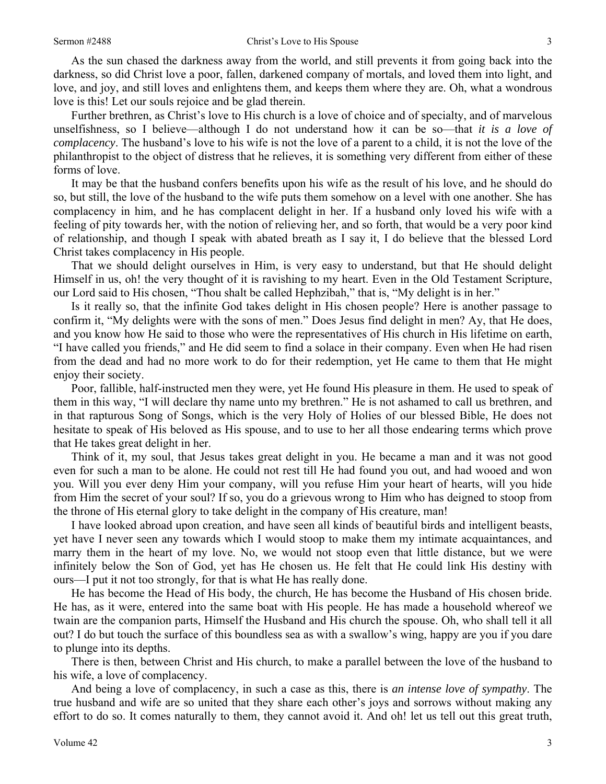As the sun chased the darkness away from the world, and still prevents it from going back into the darkness, so did Christ love a poor, fallen, darkened company of mortals, and loved them into light, and love, and joy, and still loves and enlightens them, and keeps them where they are. Oh, what a wondrous love is this! Let our souls rejoice and be glad therein.

Further brethren, as Christ's love to His church is a love of choice and of specialty, and of marvelous unselfishness, so I believe—although I do not understand how it can be so—that *it is a love of complacency*. The husband's love to his wife is not the love of a parent to a child, it is not the love of the philanthropist to the object of distress that he relieves, it is something very different from either of these forms of love.

It may be that the husband confers benefits upon his wife as the result of his love, and he should do so, but still, the love of the husband to the wife puts them somehow on a level with one another. She has complacency in him, and he has complacent delight in her. If a husband only loved his wife with a feeling of pity towards her, with the notion of relieving her, and so forth, that would be a very poor kind of relationship, and though I speak with abated breath as I say it, I do believe that the blessed Lord Christ takes complacency in His people.

That we should delight ourselves in Him, is very easy to understand, but that He should delight Himself in us, oh! the very thought of it is ravishing to my heart. Even in the Old Testament Scripture, our Lord said to His chosen, "Thou shalt be called Hephzibah," that is, "My delight is in her."

Is it really so, that the infinite God takes delight in His chosen people? Here is another passage to confirm it, "My delights were with the sons of men." Does Jesus find delight in men? Ay, that He does, and you know how He said to those who were the representatives of His church in His lifetime on earth, "I have called you friends," and He did seem to find a solace in their company. Even when He had risen from the dead and had no more work to do for their redemption, yet He came to them that He might enjoy their society.

Poor, fallible, half-instructed men they were, yet He found His pleasure in them. He used to speak of them in this way, "I will declare thy name unto my brethren." He is not ashamed to call us brethren, and in that rapturous Song of Songs, which is the very Holy of Holies of our blessed Bible, He does not hesitate to speak of His beloved as His spouse, and to use to her all those endearing terms which prove that He takes great delight in her.

Think of it, my soul, that Jesus takes great delight in you. He became a man and it was not good even for such a man to be alone. He could not rest till He had found you out, and had wooed and won you. Will you ever deny Him your company, will you refuse Him your heart of hearts, will you hide from Him the secret of your soul? If so, you do a grievous wrong to Him who has deigned to stoop from the throne of His eternal glory to take delight in the company of His creature, man!

I have looked abroad upon creation, and have seen all kinds of beautiful birds and intelligent beasts, yet have I never seen any towards which I would stoop to make them my intimate acquaintances, and marry them in the heart of my love. No, we would not stoop even that little distance, but we were infinitely below the Son of God, yet has He chosen us. He felt that He could link His destiny with ours—I put it not too strongly, for that is what He has really done.

He has become the Head of His body, the church, He has become the Husband of His chosen bride. He has, as it were, entered into the same boat with His people. He has made a household whereof we twain are the companion parts, Himself the Husband and His church the spouse. Oh, who shall tell it all out? I do but touch the surface of this boundless sea as with a swallow's wing, happy are you if you dare to plunge into its depths.

There is then, between Christ and His church, to make a parallel between the love of the husband to his wife, a love of complacency.

And being a love of complacency, in such a case as this, there is *an intense love of sympathy*. The true husband and wife are so united that they share each other's joys and sorrows without making any effort to do so. It comes naturally to them, they cannot avoid it. And oh! let us tell out this great truth,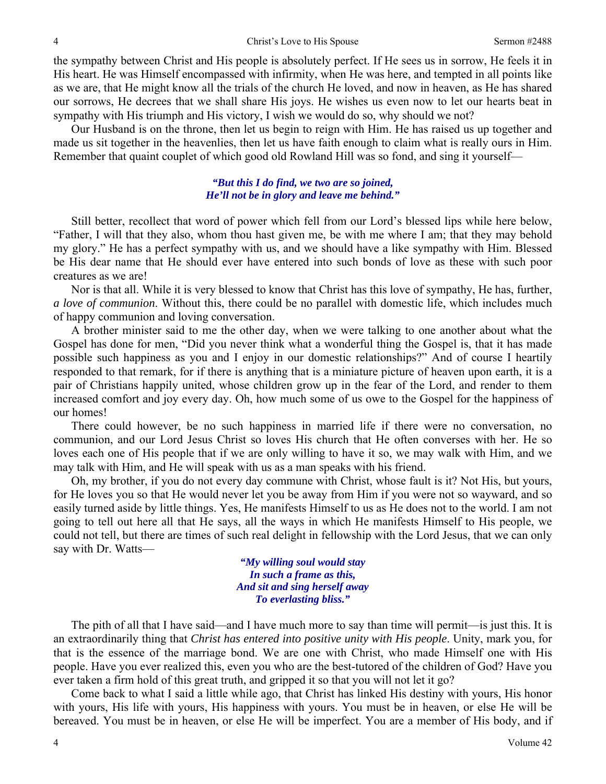the sympathy between Christ and His people is absolutely perfect. If He sees us in sorrow, He feels it in His heart. He was Himself encompassed with infirmity, when He was here, and tempted in all points like as we are, that He might know all the trials of the church He loved, and now in heaven, as He has shared our sorrows, He decrees that we shall share His joys. He wishes us even now to let our hearts beat in sympathy with His triumph and His victory, I wish we would do so, why should we not?

Our Husband is on the throne, then let us begin to reign with Him. He has raised us up together and made us sit together in the heavenlies, then let us have faith enough to claim what is really ours in Him. Remember that quaint couplet of which good old Rowland Hill was so fond, and sing it yourself—

#### *"But this I do find, we two are so joined, He'll not be in glory and leave me behind."*

Still better, recollect that word of power which fell from our Lord's blessed lips while here below, "Father, I will that they also, whom thou hast given me, be with me where I am; that they may behold my glory." He has a perfect sympathy with us, and we should have a like sympathy with Him. Blessed be His dear name that He should ever have entered into such bonds of love as these with such poor creatures as we are!

Nor is that all. While it is very blessed to know that Christ has this love of sympathy, He has, further, *a love of communion*. Without this, there could be no parallel with domestic life, which includes much of happy communion and loving conversation.

A brother minister said to me the other day, when we were talking to one another about what the Gospel has done for men, "Did you never think what a wonderful thing the Gospel is, that it has made possible such happiness as you and I enjoy in our domestic relationships?" And of course I heartily responded to that remark, for if there is anything that is a miniature picture of heaven upon earth, it is a pair of Christians happily united, whose children grow up in the fear of the Lord, and render to them increased comfort and joy every day. Oh, how much some of us owe to the Gospel for the happiness of our homes!

There could however, be no such happiness in married life if there were no conversation, no communion, and our Lord Jesus Christ so loves His church that He often converses with her. He so loves each one of His people that if we are only willing to have it so, we may walk with Him, and we may talk with Him, and He will speak with us as a man speaks with his friend.

Oh, my brother, if you do not every day commune with Christ, whose fault is it? Not His, but yours, for He loves you so that He would never let you be away from Him if you were not so wayward, and so easily turned aside by little things. Yes, He manifests Himself to us as He does not to the world. I am not going to tell out here all that He says, all the ways in which He manifests Himself to His people, we could not tell, but there are times of such real delight in fellowship with the Lord Jesus, that we can only say with Dr. Watts—

> *"My willing soul would stay In such a frame as this, And sit and sing herself away To everlasting bliss."*

The pith of all that I have said—and I have much more to say than time will permit—is just this. It is an extraordinarily thing that *Christ has entered into positive unity with His people*. Unity, mark you, for that is the essence of the marriage bond. We are one with Christ, who made Himself one with His people. Have you ever realized this, even you who are the best-tutored of the children of God? Have you ever taken a firm hold of this great truth, and gripped it so that you will not let it go?

Come back to what I said a little while ago, that Christ has linked His destiny with yours, His honor with yours, His life with yours, His happiness with yours. You must be in heaven, or else He will be bereaved. You must be in heaven, or else He will be imperfect. You are a member of His body, and if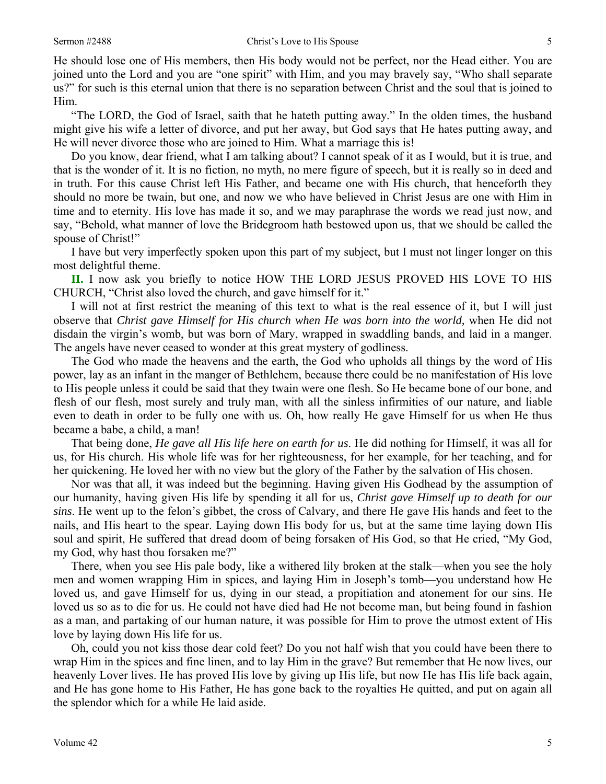He should lose one of His members, then His body would not be perfect, nor the Head either. You are joined unto the Lord and you are "one spirit" with Him, and you may bravely say, "Who shall separate us?" for such is this eternal union that there is no separation between Christ and the soul that is joined to Him.

"The LORD, the God of Israel, saith that he hateth putting away." In the olden times, the husband might give his wife a letter of divorce, and put her away, but God says that He hates putting away, and He will never divorce those who are joined to Him. What a marriage this is!

Do you know, dear friend, what I am talking about? I cannot speak of it as I would, but it is true, and that is the wonder of it. It is no fiction, no myth, no mere figure of speech, but it is really so in deed and in truth. For this cause Christ left His Father, and became one with His church, that henceforth they should no more be twain, but one, and now we who have believed in Christ Jesus are one with Him in time and to eternity. His love has made it so, and we may paraphrase the words we read just now, and say, "Behold, what manner of love the Bridegroom hath bestowed upon us, that we should be called the spouse of Christ!"

I have but very imperfectly spoken upon this part of my subject, but I must not linger longer on this most delightful theme.

**II.** I now ask you briefly to notice HOW THE LORD JESUS PROVED HIS LOVE TO HIS CHURCH, "Christ also loved the church, and gave himself for it."

I will not at first restrict the meaning of this text to what is the real essence of it, but I will just observe that *Christ gave Himself for His church when He was born into the world,* when He did not disdain the virgin's womb, but was born of Mary, wrapped in swaddling bands, and laid in a manger. The angels have never ceased to wonder at this great mystery of godliness.

The God who made the heavens and the earth, the God who upholds all things by the word of His power, lay as an infant in the manger of Bethlehem, because there could be no manifestation of His love to His people unless it could be said that they twain were one flesh. So He became bone of our bone, and flesh of our flesh, most surely and truly man, with all the sinless infirmities of our nature, and liable even to death in order to be fully one with us. Oh, how really He gave Himself for us when He thus became a babe, a child, a man!

That being done, *He gave all His life here on earth for us*. He did nothing for Himself, it was all for us, for His church. His whole life was for her righteousness, for her example, for her teaching, and for her quickening. He loved her with no view but the glory of the Father by the salvation of His chosen.

Nor was that all, it was indeed but the beginning. Having given His Godhead by the assumption of our humanity, having given His life by spending it all for us, *Christ gave Himself up to death for our sins*. He went up to the felon's gibbet, the cross of Calvary, and there He gave His hands and feet to the nails, and His heart to the spear. Laying down His body for us, but at the same time laying down His soul and spirit, He suffered that dread doom of being forsaken of His God, so that He cried, "My God, my God, why hast thou forsaken me?"

There, when you see His pale body, like a withered lily broken at the stalk—when you see the holy men and women wrapping Him in spices, and laying Him in Joseph's tomb—you understand how He loved us, and gave Himself for us, dying in our stead, a propitiation and atonement for our sins. He loved us so as to die for us. He could not have died had He not become man, but being found in fashion as a man, and partaking of our human nature, it was possible for Him to prove the utmost extent of His love by laying down His life for us.

Oh, could you not kiss those dear cold feet? Do you not half wish that you could have been there to wrap Him in the spices and fine linen, and to lay Him in the grave? But remember that He now lives, our heavenly Lover lives. He has proved His love by giving up His life, but now He has His life back again, and He has gone home to His Father, He has gone back to the royalties He quitted, and put on again all the splendor which for a while He laid aside.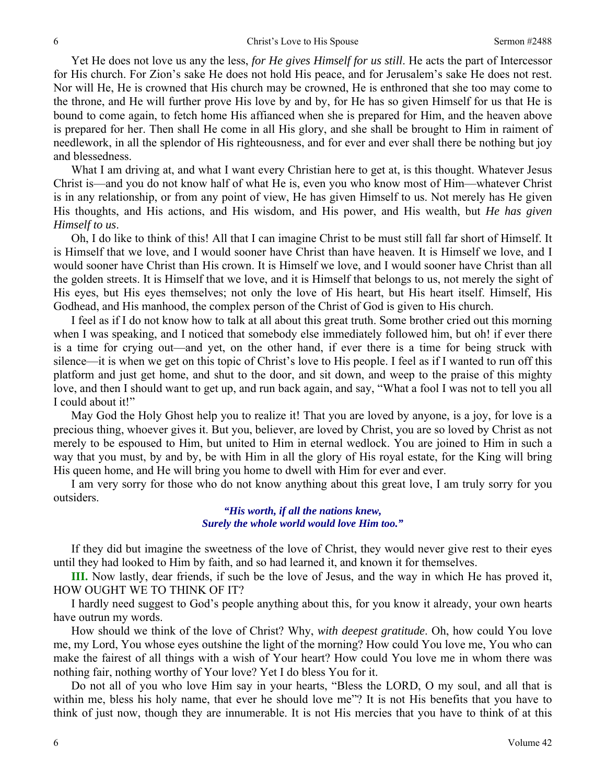Yet He does not love us any the less, *for He gives Himself for us still*. He acts the part of Intercessor for His church. For Zion's sake He does not hold His peace, and for Jerusalem's sake He does not rest. Nor will He, He is crowned that His church may be crowned, He is enthroned that she too may come to the throne, and He will further prove His love by and by, for He has so given Himself for us that He is bound to come again, to fetch home His affianced when she is prepared for Him, and the heaven above is prepared for her. Then shall He come in all His glory, and she shall be brought to Him in raiment of needlework, in all the splendor of His righteousness, and for ever and ever shall there be nothing but joy and blessedness.

What I am driving at, and what I want every Christian here to get at, is this thought. Whatever Jesus Christ is—and you do not know half of what He is, even you who know most of Him—whatever Christ is in any relationship, or from any point of view, He has given Himself to us. Not merely has He given His thoughts, and His actions, and His wisdom, and His power, and His wealth, but *He has given Himself to us*.

Oh, I do like to think of this! All that I can imagine Christ to be must still fall far short of Himself. It is Himself that we love, and I would sooner have Christ than have heaven. It is Himself we love, and I would sooner have Christ than His crown. It is Himself we love, and I would sooner have Christ than all the golden streets. It is Himself that we love, and it is Himself that belongs to us, not merely the sight of His eyes, but His eyes themselves; not only the love of His heart, but His heart itself. Himself, His Godhead, and His manhood, the complex person of the Christ of God is given to His church.

I feel as if I do not know how to talk at all about this great truth. Some brother cried out this morning when I was speaking, and I noticed that somebody else immediately followed him, but oh! if ever there is a time for crying out—and yet, on the other hand, if ever there is a time for being struck with silence—it is when we get on this topic of Christ's love to His people. I feel as if I wanted to run off this platform and just get home, and shut to the door, and sit down, and weep to the praise of this mighty love, and then I should want to get up, and run back again, and say, "What a fool I was not to tell you all I could about it!"

May God the Holy Ghost help you to realize it! That you are loved by anyone, is a joy, for love is a precious thing, whoever gives it. But you, believer, are loved by Christ, you are so loved by Christ as not merely to be espoused to Him, but united to Him in eternal wedlock. You are joined to Him in such a way that you must, by and by, be with Him in all the glory of His royal estate, for the King will bring His queen home, and He will bring you home to dwell with Him for ever and ever.

I am very sorry for those who do not know anything about this great love, I am truly sorry for you outsiders.

> *"His worth, if all the nations knew, Surely the whole world would love Him too."*

If they did but imagine the sweetness of the love of Christ, they would never give rest to their eyes until they had looked to Him by faith, and so had learned it, and known it for themselves.

**III.** Now lastly, dear friends, if such be the love of Jesus, and the way in which He has proved it, HOW OUGHT WE TO THINK OF IT?

I hardly need suggest to God's people anything about this, for you know it already, your own hearts have outrun my words.

How should we think of the love of Christ? Why, *with deepest gratitude*. Oh, how could You love me, my Lord, You whose eyes outshine the light of the morning? How could You love me, You who can make the fairest of all things with a wish of Your heart? How could You love me in whom there was nothing fair, nothing worthy of Your love? Yet I do bless You for it.

Do not all of you who love Him say in your hearts, "Bless the LORD, O my soul, and all that is within me, bless his holy name, that ever he should love me"? It is not His benefits that you have to think of just now, though they are innumerable. It is not His mercies that you have to think of at this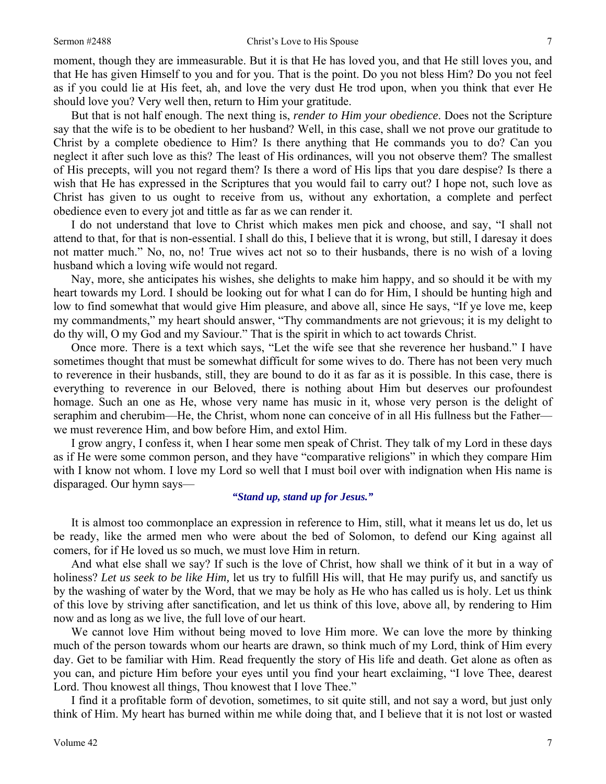#### Sermon #2488 Christ's Love to His Spouse 7

moment, though they are immeasurable. But it is that He has loved you, and that He still loves you, and that He has given Himself to you and for you. That is the point. Do you not bless Him? Do you not feel as if you could lie at His feet, ah, and love the very dust He trod upon, when you think that ever He should love you? Very well then, return to Him your gratitude.

But that is not half enough. The next thing is, *render to Him your obedience*. Does not the Scripture say that the wife is to be obedient to her husband? Well, in this case, shall we not prove our gratitude to Christ by a complete obedience to Him? Is there anything that He commands you to do? Can you neglect it after such love as this? The least of His ordinances, will you not observe them? The smallest of His precepts, will you not regard them? Is there a word of His lips that you dare despise? Is there a wish that He has expressed in the Scriptures that you would fail to carry out? I hope not, such love as Christ has given to us ought to receive from us, without any exhortation, a complete and perfect obedience even to every jot and tittle as far as we can render it.

I do not understand that love to Christ which makes men pick and choose, and say, "I shall not attend to that, for that is non-essential. I shall do this, I believe that it is wrong, but still, I daresay it does not matter much." No, no, no! True wives act not so to their husbands, there is no wish of a loving husband which a loving wife would not regard.

Nay, more, she anticipates his wishes, she delights to make him happy, and so should it be with my heart towards my Lord. I should be looking out for what I can do for Him, I should be hunting high and low to find somewhat that would give Him pleasure, and above all, since He says, "If ye love me, keep my commandments," my heart should answer, "Thy commandments are not grievous; it is my delight to do thy will, O my God and my Saviour." That is the spirit in which to act towards Christ.

Once more. There is a text which says, "Let the wife see that she reverence her husband." I have sometimes thought that must be somewhat difficult for some wives to do. There has not been very much to reverence in their husbands, still, they are bound to do it as far as it is possible. In this case, there is everything to reverence in our Beloved, there is nothing about Him but deserves our profoundest homage. Such an one as He, whose very name has music in it, whose very person is the delight of seraphim and cherubim—He, the Christ, whom none can conceive of in all His fullness but the Father we must reverence Him, and bow before Him, and extol Him.

I grow angry, I confess it, when I hear some men speak of Christ. They talk of my Lord in these days as if He were some common person, and they have "comparative religions" in which they compare Him with I know not whom. I love my Lord so well that I must boil over with indignation when His name is disparaged. Our hymn says—

### *"Stand up, stand up for Jesus."*

It is almost too commonplace an expression in reference to Him, still, what it means let us do, let us be ready, like the armed men who were about the bed of Solomon, to defend our King against all comers, for if He loved us so much, we must love Him in return.

And what else shall we say? If such is the love of Christ, how shall we think of it but in a way of holiness? *Let us seek to be like Him,* let us try to fulfill His will, that He may purify us, and sanctify us by the washing of water by the Word, that we may be holy as He who has called us is holy. Let us think of this love by striving after sanctification, and let us think of this love, above all, by rendering to Him now and as long as we live, the full love of our heart.

We cannot love Him without being moved to love Him more. We can love the more by thinking much of the person towards whom our hearts are drawn, so think much of my Lord, think of Him every day. Get to be familiar with Him. Read frequently the story of His life and death. Get alone as often as you can, and picture Him before your eyes until you find your heart exclaiming, "I love Thee, dearest Lord. Thou knowest all things, Thou knowest that I love Thee."

I find it a profitable form of devotion, sometimes, to sit quite still, and not say a word, but just only think of Him. My heart has burned within me while doing that, and I believe that it is not lost or wasted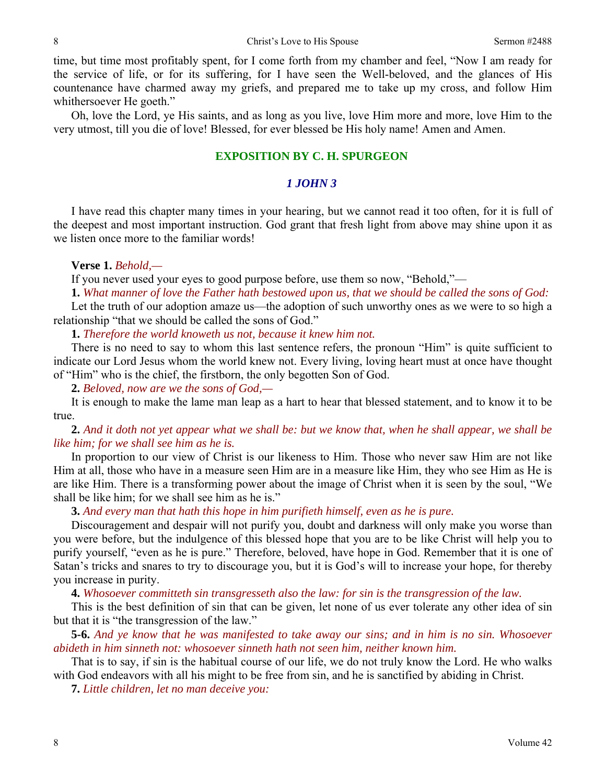time, but time most profitably spent, for I come forth from my chamber and feel, "Now I am ready for the service of life, or for its suffering, for I have seen the Well-beloved, and the glances of His countenance have charmed away my griefs, and prepared me to take up my cross, and follow Him whithersoever He goeth."

Oh, love the Lord, ye His saints, and as long as you live, love Him more and more, love Him to the very utmost, till you die of love! Blessed, for ever blessed be His holy name! Amen and Amen.

### **EXPOSITION BY C. H. SPURGEON**

### *1 JOHN 3*

I have read this chapter many times in your hearing, but we cannot read it too often, for it is full of the deepest and most important instruction. God grant that fresh light from above may shine upon it as we listen once more to the familiar words!

#### **Verse 1.** *Behold,—*

If you never used your eyes to good purpose before, use them so now, "Behold,"—

**1.** *What manner of love the Father hath bestowed upon us, that we should be called the sons of God:* 

Let the truth of our adoption amaze us—the adoption of such unworthy ones as we were to so high a relationship "that we should be called the sons of God."

**1.** *Therefore the world knoweth us not, because it knew him not.* 

There is no need to say to whom this last sentence refers, the pronoun "Him" is quite sufficient to indicate our Lord Jesus whom the world knew not. Every living, loving heart must at once have thought of "Him" who is the chief, the firstborn, the only begotten Son of God.

**2.** *Beloved, now are we the sons of God,—* 

It is enough to make the lame man leap as a hart to hear that blessed statement, and to know it to be true.

**2.** *And it doth not yet appear what we shall be: but we know that, when he shall appear, we shall be like him; for we shall see him as he is.* 

In proportion to our view of Christ is our likeness to Him. Those who never saw Him are not like Him at all, those who have in a measure seen Him are in a measure like Him, they who see Him as He is are like Him. There is a transforming power about the image of Christ when it is seen by the soul, "We shall be like him; for we shall see him as he is."

**3.** *And every man that hath this hope in him purifieth himself, even as he is pure.* 

Discouragement and despair will not purify you, doubt and darkness will only make you worse than you were before, but the indulgence of this blessed hope that you are to be like Christ will help you to purify yourself, "even as he is pure." Therefore, beloved, have hope in God. Remember that it is one of Satan's tricks and snares to try to discourage you, but it is God's will to increase your hope, for thereby you increase in purity.

**4.** *Whosoever committeth sin transgresseth also the law: for sin is the transgression of the law.* 

This is the best definition of sin that can be given, let none of us ever tolerate any other idea of sin but that it is "the transgression of the law."

**5-6.** *And ye know that he was manifested to take away our sins; and in him is no sin. Whosoever abideth in him sinneth not: whosoever sinneth hath not seen him, neither known him.* 

That is to say, if sin is the habitual course of our life, we do not truly know the Lord. He who walks with God endeavors with all his might to be free from sin, and he is sanctified by abiding in Christ.

**7.** *Little children, let no man deceive you:*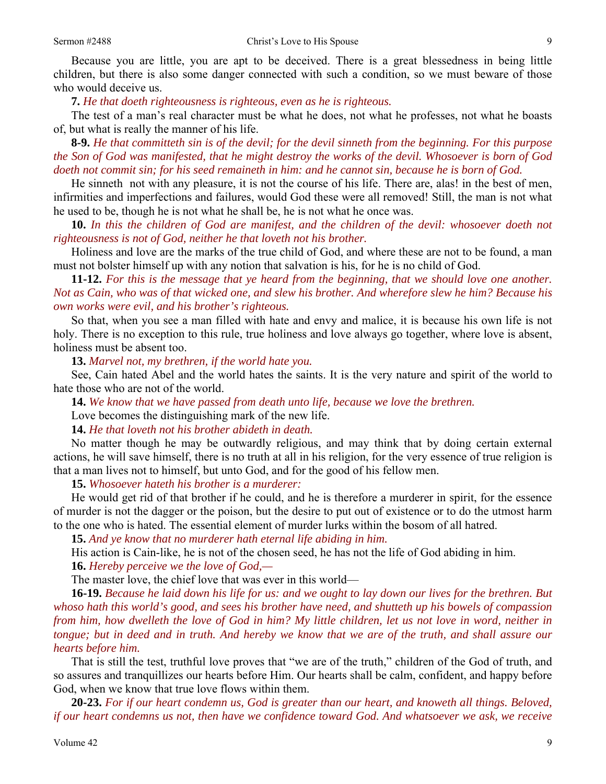Because you are little, you are apt to be deceived. There is a great blessedness in being little children, but there is also some danger connected with such a condition, so we must beware of those who would deceive us.

**7.** *He that doeth righteousness is righteous, even as he is righteous.* 

The test of a man's real character must be what he does, not what he professes, not what he boasts of, but what is really the manner of his life.

**8-9.** *He that committeth sin is of the devil; for the devil sinneth from the beginning. For this purpose the Son of God was manifested, that he might destroy the works of the devil. Whosoever is born of God doeth not commit sin; for his seed remaineth in him: and he cannot sin, because he is born of God.* 

He sinneth not with any pleasure, it is not the course of his life. There are, alas! in the best of men, infirmities and imperfections and failures, would God these were all removed! Still, the man is not what he used to be, though he is not what he shall be, he is not what he once was.

**10.** *In this the children of God are manifest, and the children of the devil: whosoever doeth not righteousness is not of God, neither he that loveth not his brother.* 

Holiness and love are the marks of the true child of God, and where these are not to be found, a man must not bolster himself up with any notion that salvation is his, for he is no child of God.

**11-12.** *For this is the message that ye heard from the beginning, that we should love one another. Not as Cain, who was of that wicked one, and slew his brother. And wherefore slew he him? Because his own works were evil, and his brother's righteous.* 

So that, when you see a man filled with hate and envy and malice, it is because his own life is not holy. There is no exception to this rule, true holiness and love always go together, where love is absent, holiness must be absent too.

**13.** *Marvel not, my brethren, if the world hate you.* 

See, Cain hated Abel and the world hates the saints. It is the very nature and spirit of the world to hate those who are not of the world.

**14.** *We know that we have passed from death unto life, because we love the brethren.* 

Love becomes the distinguishing mark of the new life.

**14.** *He that loveth not his brother abideth in death.* 

No matter though he may be outwardly religious, and may think that by doing certain external actions, he will save himself, there is no truth at all in his religion, for the very essence of true religion is that a man lives not to himself, but unto God, and for the good of his fellow men.

**15.** *Whosoever hateth his brother is a murderer:* 

He would get rid of that brother if he could, and he is therefore a murderer in spirit, for the essence of murder is not the dagger or the poison, but the desire to put out of existence or to do the utmost harm to the one who is hated. The essential element of murder lurks within the bosom of all hatred.

**15.** *And ye know that no murderer hath eternal life abiding in him.* 

His action is Cain-like, he is not of the chosen seed, he has not the life of God abiding in him.

**16.** *Hereby perceive we the love of God,—* 

The master love, the chief love that was ever in this world—

**16-19.** *Because he laid down his life for us: and we ought to lay down our lives for the brethren. But whoso hath this world's good, and sees his brother have need, and shutteth up his bowels of compassion from him, how dwelleth the love of God in him? My little children, let us not love in word, neither in tongue; but in deed and in truth. And hereby we know that we are of the truth, and shall assure our hearts before him.* 

That is still the test, truthful love proves that "we are of the truth," children of the God of truth, and so assures and tranquillizes our hearts before Him. Our hearts shall be calm, confident, and happy before God, when we know that true love flows within them.

**20-23.** *For if our heart condemn us, God is greater than our heart, and knoweth all things. Beloved, if our heart condemns us not, then have we confidence toward God. And whatsoever we ask, we receive*